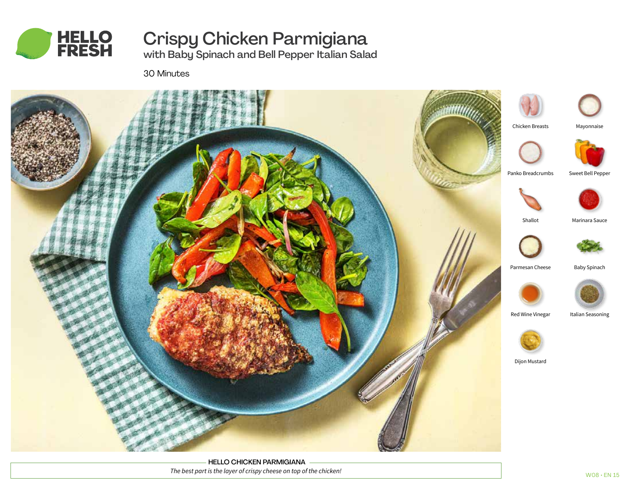

# Crispy Chicken Parmigiana

with Baby Spinach and Bell Pepper Italian Salad

30 Minutes



HELLO CHICKEN PARMIGIANA *The best part is the layer of crispy cheese on top of the chicken!*